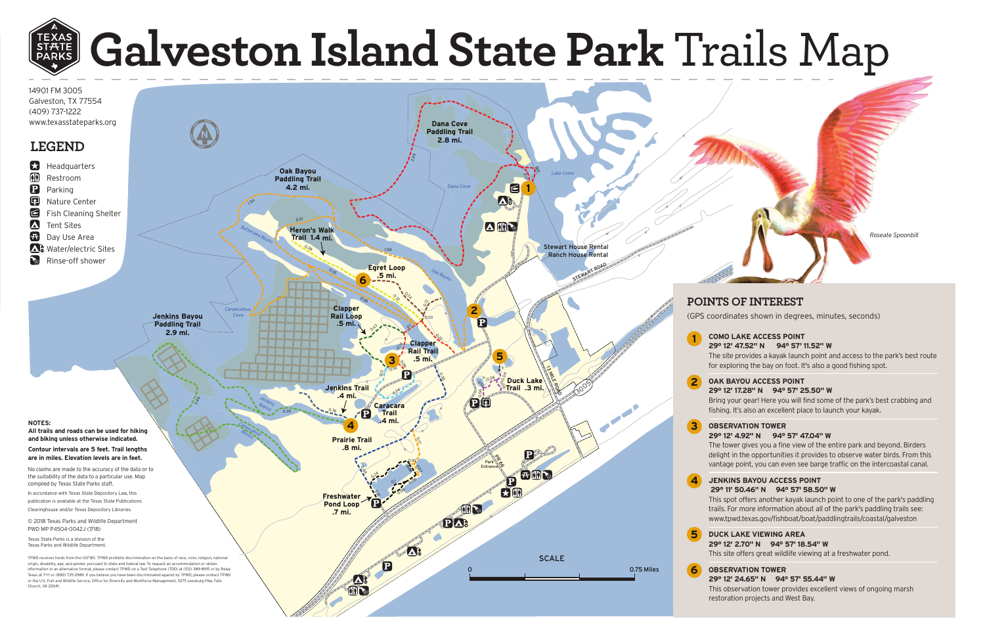# **Galveston Island State Park Trails Map**